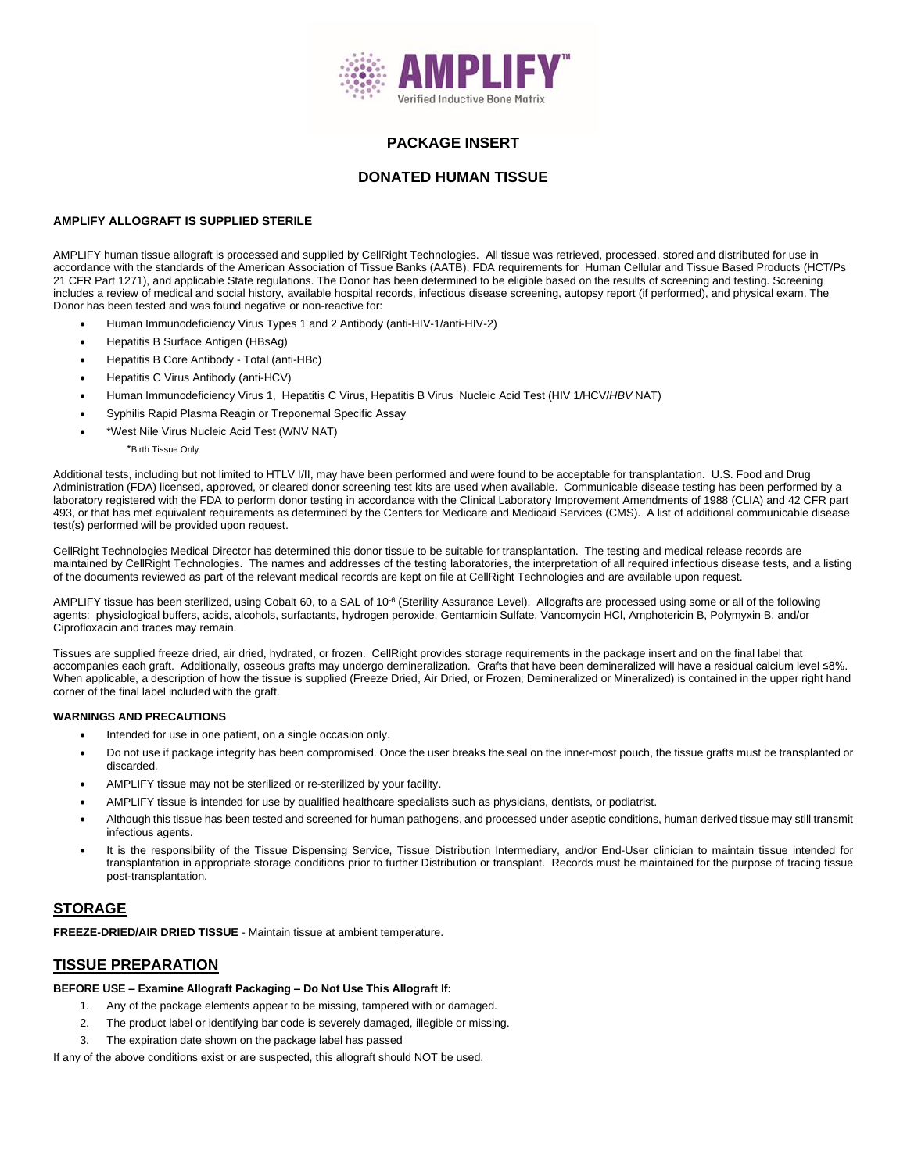

### **PACKAGE INSERT**

### **DONATED HUMAN TISSUE**

### **AMPLIFY ALLOGRAFT IS SUPPLIED STERILE**

AMPLIFY human tissue allograft is processed and supplied by CellRight Technologies. All tissue was retrieved, processed, stored and distributed for use in accordance with the standards of the American Association of Tissue Banks (AATB), FDA requirements for Human Cellular and Tissue Based Products (HCT/Ps 21 CFR Part 1271), and applicable State regulations. The Donor has been determined to be eligible based on the results of screening and testing. Screening includes a review of medical and social history, available hospital records, infectious disease screening, autopsy report (if performed), and physical exam. The Donor has been tested and was found negative or non-reactive for:

- Human Immunodeficiency Virus Types 1 and 2 Antibody (anti-HIV-1/anti-HIV-2)
- Hepatitis B Surface Antigen (HBsAg)
- Hepatitis B Core Antibody Total (anti-HBc)
- Hepatitis C Virus Antibody (anti-HCV)
- Human Immunodeficiency Virus 1, Hepatitis C Virus, Hepatitis B Virus Nucleic Acid Test (HIV 1/HCV/*HBV* NAT)
- Syphilis Rapid Plasma Reagin or Treponemal Specific Assay
- \*West Nile Virus Nucleic Acid Test (WNV NAT)

\*Birth Tissue Only

Additional tests, including but not limited to HTLV I/II, may have been performed and were found to be acceptable for transplantation. U.S. Food and Drug Administration (FDA) licensed, approved, or cleared donor screening test kits are used when available. Communicable disease testing has been performed by a laboratory registered with the FDA to perform donor testing in accordance with the Clinical Laboratory Improvement Amendments of 1988 (CLIA) and 42 CFR part 493, or that has met equivalent requirements as determined by the Centers for Medicare and Medicaid Services (CMS). A list of additional communicable disease test(s) performed will be provided upon request.

CellRight Technologies Medical Director has determined this donor tissue to be suitable for transplantation. The testing and medical release records are maintained by CellRight Technologies. The names and addresses of the testing laboratories, the interpretation of all required infectious disease tests, and a listing of the documents reviewed as part of the relevant medical records are kept on file at CellRight Technologies and are available upon request.

AMPLIFY tissue has been sterilized, using Cobalt 60, to a SAL of 10<sup>-6</sup> (Sterility Assurance Level). Allografts are processed using some or all of the following agents: physiological buffers, acids, alcohols, surfactants, hydrogen peroxide, Gentamicin Sulfate, Vancomycin HCl, Amphotericin B, Polymyxin B, and/or Ciprofloxacin and traces may remain.

Tissues are supplied freeze dried, air dried, hydrated, or frozen. CellRight provides storage requirements in the package insert and on the final label that accompanies each graft. Additionally, osseous grafts may undergo demineralization. Grafts that have been demineralized will have a residual calcium level ≤8%. When applicable, a description of how the tissue is supplied (Freeze Dried, Air Dried, or Frozen; Demineralized or Mineralized) is contained in the upper right hand corner of the final label included with the graft.

#### **WARNINGS AND PRECAUTIONS**

- Intended for use in one patient, on a single occasion only.
- Do not use if package integrity has been compromised. Once the user breaks the seal on the inner-most pouch, the tissue grafts must be transplanted or discarded
- AMPLIFY tissue may not be sterilized or re-sterilized by your facility.
- AMPLIFY tissue is intended for use by qualified healthcare specialists such as physicians, dentists, or podiatrist.
- Although this tissue has been tested and screened for human pathogens, and processed under aseptic conditions, human derived tissue may still transmit infectious agents.
- It is the responsibility of the Tissue Dispensing Service, Tissue Distribution Intermediary, and/or End-User clinician to maintain tissue intended for transplantation in appropriate storage conditions prior to further Distribution or transplant. Records must be maintained for the purpose of tracing tissue post-transplantation.

### **STORAGE**

**FREEZE-DRIED/AIR DRIED TISSUE** - Maintain tissue at ambient temperature.

### **TISSUE PREPARATION**

#### **BEFORE USE – Examine Allograft Packaging – Do Not Use This Allograft If:**

- 1. Any of the package elements appear to be missing, tampered with or damaged.
- 2. The product label or identifying bar code is severely damaged, illegible or missing.
- 3. The expiration date shown on the package label has passed

If any of the above conditions exist or are suspected, this allograft should NOT be used.